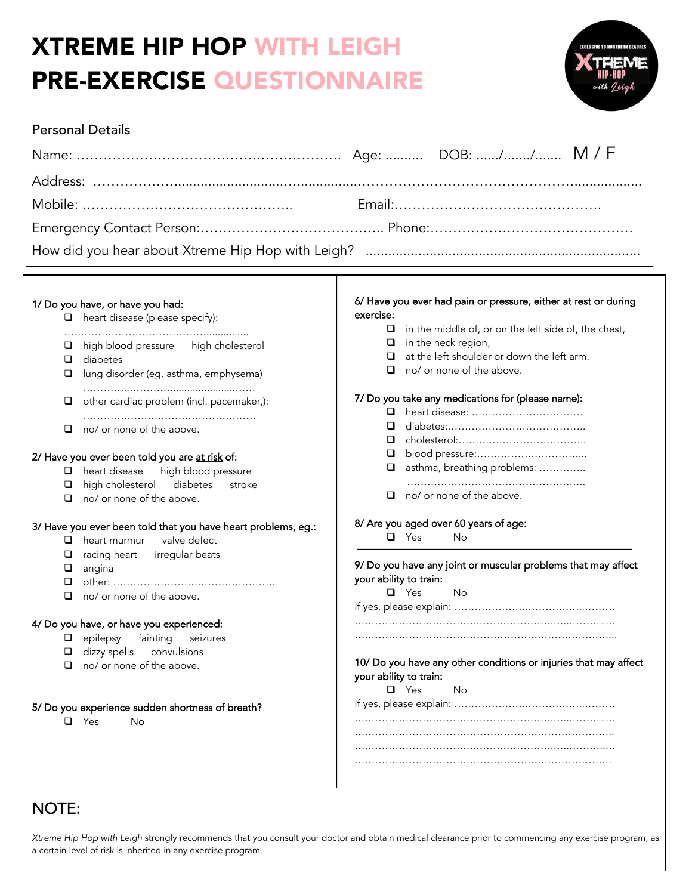# XTREME HIP HOP WITH LEIGH PRE-EXERCISE QUESTIONNAIRE



### Personal Details

#### 1/ Do you have, or have you had:

- $\Box$  heart disease (please specify):
- ……………………………………...............  $\Box$  high blood pressure high cholesterol
- $\Box$  diabetes

 $\overline{a}$ 

- $\Box$  lung disorder (eg. asthma, emphysema) …………..………….......................……
- $\Box$  other cardiac problem (incl. pacemaker,): ……………………………………………
- $\Box$  no/ or none of the above.

#### 2/ Have you ever been told you are at risk of:

- $\Box$  heart disease high blood pressure
- $\Box$  high cholesterol diabetes stroke
- $\Box$  no/ or none of the above.

#### 3/ Have you ever been told that you have heart problems, eg.:

- $\Box$  heart murmur valve defect
- $\Box$  racing heart irregular beats
- $\Box$  angina
- q other: …………………………………………
- $\Box$  no/ or none of the above.

#### 4/ Do you have, or have you experienced:

- $\Box$  epilepsy fainting seizures
- $\Box$  dizzy spells convulsions
- $\Box$  no/ or none of the above.

#### 5/ Do you experience sudden shortness of breath?

 $\Box$  Yes  $\Box$ 

#### 6/ Have you ever had pain or pressure, either at rest or during exercise:

- $\Box$  in the middle of, or on the left side of, the chest,
- $\Box$  in the neck region,
- $\Box$  at the left shoulder or down the left arm.
- $\Box$  no/ or none of the above.

#### 7/ Do you take any medications for (please name):

- q heart disease: ……………………………
- q diabetes:…………………………………..
- q cholesterol:………………………………..
- q blood pressure:…………………………...
- □ asthma, breathing problems: ……………
- ……………………………………………..
- $\Box$  no/ or none of the above.

#### 8/ Are you aged over 60 years of age:

**Q** Yes No

#### 9/ Do you have any joint or muscular problems that may affect your ability to train:

q Yes No

If yes, please explain: ………………….……………..……… ……………………………….………………….…..………..…

…………………………………………………………………...

10/ Do you have any other conditions or injuries that may affect your ability to train:

q Yes No

If yes, please explain: ………………….……………..……… ……………………………….………………….…..………..… ………………………………………………………………….. ……………………………….………………….…..………..…

………………………………………………………………….

## NOTE:

*Xtreme Hip Hop with Leigh* strongly recommends that you consult your doctor and obtain medical clearance prior to commencing any exercise program, as a certain level of risk is inherited in any exercise program.